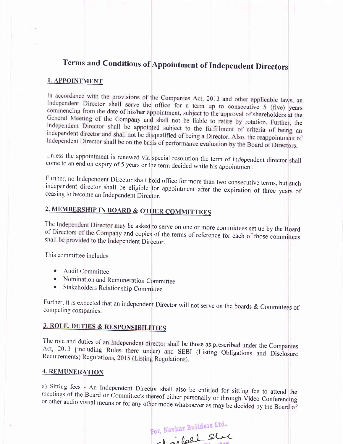# Terms and Conditions of Appointment of Independent Directors

#### 1. APPOINTMENT

In accordance with the provisions of the Companies Act, 2013 and other applicable laws, an Independent Director shall serve the office for a term up to consecutive 5 (five) years<br>commencing from the date of higher appointment of the distribution of commencing from the date of his/her appointment, subject to the approval of shareholders at the General Meeting of the Company and shall not be liable to retire by rotation. Further, the<br>Independent Director shall be appointed with the liable to retire by rotation. Further, the Independent Director shall be appointed subject to the fulfillment of criteria of being an<br>independent director and shall not be discussed. independent director and shall not be disqualified of being a Director. Also, the reappointment of<br>Independent Director shall be on the bosis of perfective contract of Independent Director shall be on the basis of performance evaluation by the Board of Directors.

Unless the appointment is renewed via special resolution the term of independent director shall come to an end on expiry of 5 years or the term decided while his appointment.

Further, no Independent Director shall hold office for more than two consecutive terms, but such independent director shall be eligible for appointment after the expiration of three years of ceasing to become an Independen

## 2. MEMBERSHIP IN BOARD & OTHER COMMITTEES

The Independent Director may be asked to serve on one or more committees set up by the Board<br>of Directors of the Company and copies of the terms of reference for each of these sumerity of Directors of the Company and copies of the terms of reference for each of those committees shall be provided to the Independent Director.

This committee includes

- Audit Committee
- Nomination and Remuneration Committee
- Stakeholders Relationship Committee

Further, it is expected that an independent Director will not serve on the boards & Committees of competing companies.

## **3. ROLE, DUTIES & RESPONSIBILITIES**

The role and duties of an Independent director shall be those as prescribed under the Companies Act, 2013 [including Rules there under) and SEBI (Listing Obligations and Disclosure Requirements) Regulations, 2015 (Listing Regulations).

#### 4. REMUNERATION

meetings a) Sitting fees - An Independent Director shall also be entitled for sitting fee to attend the meetings of the Board or Committee's thereof either personally or through Video Conferencing<br>or other audio visual means or for

For, Navkar Builders Ltd.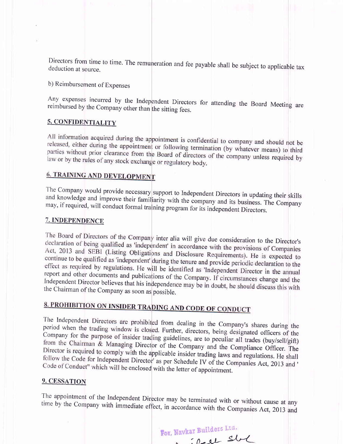Directors from time to time. The remuneration and fee payable shall be subject to applicable tax deduction at source.

b) Reimbursement of Expenses

Any expenses incurred by the Independent Directors for attending the Board Meeting are reimbursed by the Company other than the sitting fees.

### 5. CONFIDENTIALITY

All information acquired during the appointment is confidential to company and should not be released, either during the appointment or following termination (by whatever means) to third parties without prior clearance from the Board of directors of the company unless required by law or by the rules of any stock exchange or regulatory body.

## **6. TRAINING AND DEVELOPMENT**

The Company would provide necessary support to Independent Directors in updating their skills and knowledge and improve their familiarity with the company and its business. The Company may, if required, will conduct formal training program for its independent Directors.

### 7. INDEPENDENCE

The Board of Directors of the Company inter alia will give due consideration to the Director's declaration of being qualified as 'independent' in accordance with the provisions of Companies Act, 2013 and SEBI (Listing Obligations and Disclosure Requirements). He is expected to continue to be qualified as 'independent' during the tenure and provide periodic declaration to the effect as required by regulations. He will be identified as 'Independent Director in the annual report and other documents and publications of the Company. If circumstances change and the Independent Director believes that his independence may be in doubt, he should discuss this with the Chairman of the Company as soon as possible.

# 8. PROHIBITION ON INSIDER TRADING AND CODE OF CONDUCT

The Independent Directors are prohibited from dealing in the Company's shares during the period when the trading window is closed. Further, directors, being designated officers of the Company for the purpose of insider trading guidelines, are to peculiar all trades (buy/sell/gift) from the Chairman & Managing Director of the Company and the Compliance Officer. The Director is required to comply with the applicable insider trading laws and regulations. He shall follow the Code for Independent Director' as per Schedule IV of the Companies Act, 2013 and ' Code of Conduct" which will be enclosed with the letter of appointment.

#### 9. CESSATION

The appointment of the Independent Director may be terminated with or without cause at any time by the Company with immediate effect, in accordance with the Companies Act, 2013 and

For, Navkar Builders Ltd.

in in the state